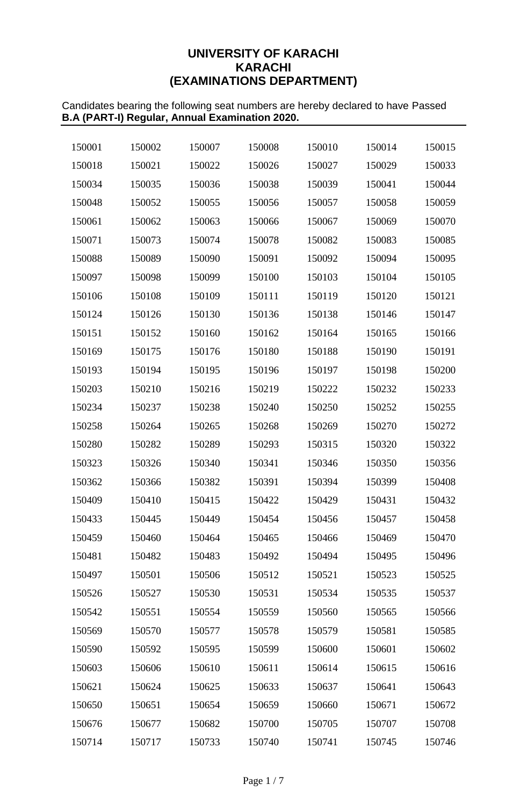# **UNIVERSITY OF KARACHI KARACHI (EXAMINATIONS DEPARTMENT)**

Candidates bearing the following seat numbers are hereby declared to have Passed **B.A (PART-I) Regular, Annual Examination 2020.**

| 150001 | 150002 | 150007 | 150008 | 150010 | 150014 | 150015 |
|--------|--------|--------|--------|--------|--------|--------|
| 150018 | 150021 | 150022 | 150026 | 150027 | 150029 | 150033 |
| 150034 | 150035 | 150036 | 150038 | 150039 | 150041 | 150044 |
| 150048 | 150052 | 150055 | 150056 | 150057 | 150058 | 150059 |
| 150061 | 150062 | 150063 | 150066 | 150067 | 150069 | 150070 |
| 150071 | 150073 | 150074 | 150078 | 150082 | 150083 | 150085 |
| 150088 | 150089 | 150090 | 150091 | 150092 | 150094 | 150095 |
| 150097 | 150098 | 150099 | 150100 | 150103 | 150104 | 150105 |
| 150106 | 150108 | 150109 | 150111 | 150119 | 150120 | 150121 |
| 150124 | 150126 | 150130 | 150136 | 150138 | 150146 | 150147 |
| 150151 | 150152 | 150160 | 150162 | 150164 | 150165 | 150166 |
| 150169 | 150175 | 150176 | 150180 | 150188 | 150190 | 150191 |
| 150193 | 150194 | 150195 | 150196 | 150197 | 150198 | 150200 |
| 150203 | 150210 | 150216 | 150219 | 150222 | 150232 | 150233 |
| 150234 | 150237 | 150238 | 150240 | 150250 | 150252 | 150255 |
| 150258 | 150264 | 150265 | 150268 | 150269 | 150270 | 150272 |
| 150280 | 150282 | 150289 | 150293 | 150315 | 150320 | 150322 |
| 150323 | 150326 | 150340 | 150341 | 150346 | 150350 | 150356 |
| 150362 | 150366 | 150382 | 150391 | 150394 | 150399 | 150408 |
| 150409 | 150410 | 150415 | 150422 | 150429 | 150431 | 150432 |
| 150433 | 150445 | 150449 | 150454 | 150456 | 150457 | 150458 |
| 150459 | 150460 | 150464 | 150465 | 150466 | 150469 | 150470 |
| 150481 | 150482 | 150483 | 150492 | 150494 | 150495 | 150496 |
| 150497 | 150501 | 150506 | 150512 | 150521 | 150523 | 150525 |
| 150526 | 150527 | 150530 | 150531 | 150534 | 150535 | 150537 |
| 150542 | 150551 | 150554 | 150559 | 150560 | 150565 | 150566 |
| 150569 | 150570 | 150577 | 150578 | 150579 | 150581 | 150585 |
| 150590 | 150592 | 150595 | 150599 | 150600 | 150601 | 150602 |
| 150603 | 150606 | 150610 | 150611 | 150614 | 150615 | 150616 |
| 150621 | 150624 | 150625 | 150633 | 150637 | 150641 | 150643 |
| 150650 | 150651 | 150654 | 150659 | 150660 | 150671 | 150672 |
| 150676 | 150677 | 150682 | 150700 | 150705 | 150707 | 150708 |
| 150714 | 150717 | 150733 | 150740 | 150741 | 150745 | 150746 |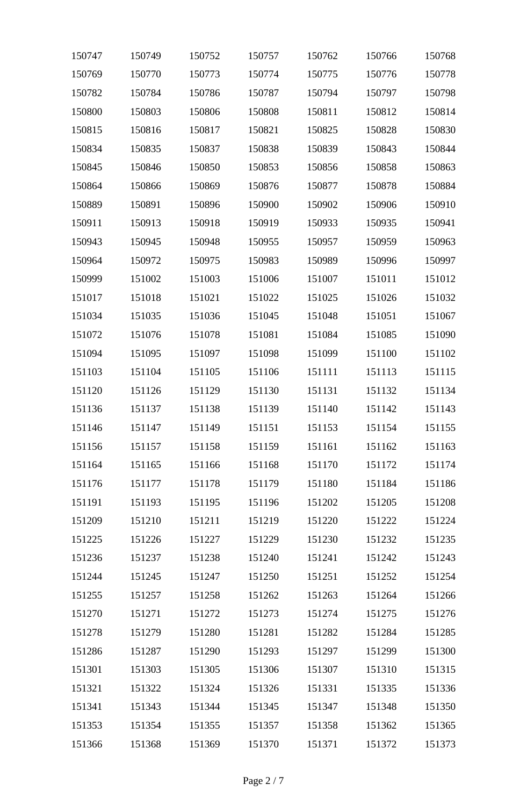| 150747 | 150749 | 150752 | 150757 | 150762 | 150766 | 150768 |
|--------|--------|--------|--------|--------|--------|--------|
| 150769 | 150770 | 150773 | 150774 | 150775 | 150776 | 150778 |
| 150782 | 150784 | 150786 | 150787 | 150794 | 150797 | 150798 |
| 150800 | 150803 | 150806 | 150808 | 150811 | 150812 | 150814 |
| 150815 | 150816 | 150817 | 150821 | 150825 | 150828 | 150830 |
| 150834 | 150835 | 150837 | 150838 | 150839 | 150843 | 150844 |
| 150845 | 150846 | 150850 | 150853 | 150856 | 150858 | 150863 |
| 150864 | 150866 | 150869 | 150876 | 150877 | 150878 | 150884 |
| 150889 | 150891 | 150896 | 150900 | 150902 | 150906 | 150910 |
| 150911 | 150913 | 150918 | 150919 | 150933 | 150935 | 150941 |
| 150943 | 150945 | 150948 | 150955 | 150957 | 150959 | 150963 |
| 150964 | 150972 | 150975 | 150983 | 150989 | 150996 | 150997 |
| 150999 | 151002 | 151003 | 151006 | 151007 | 151011 | 151012 |
| 151017 | 151018 | 151021 | 151022 | 151025 | 151026 | 151032 |
| 151034 | 151035 | 151036 | 151045 | 151048 | 151051 | 151067 |
| 151072 | 151076 | 151078 | 151081 | 151084 | 151085 | 151090 |
| 151094 | 151095 | 151097 | 151098 | 151099 | 151100 | 151102 |
| 151103 | 151104 | 151105 | 151106 | 151111 | 151113 | 151115 |
| 151120 | 151126 | 151129 | 151130 | 151131 | 151132 | 151134 |
| 151136 | 151137 | 151138 | 151139 | 151140 | 151142 | 151143 |
| 151146 | 151147 | 151149 | 151151 | 151153 | 151154 | 151155 |
| 151156 | 151157 | 151158 | 151159 | 151161 | 151162 | 151163 |
| 151164 | 151165 | 151166 | 151168 | 151170 | 151172 | 151174 |
| 151176 | 151177 | 151178 | 151179 | 151180 | 151184 | 151186 |
| 151191 | 151193 | 151195 | 151196 | 151202 | 151205 | 151208 |
| 151209 | 151210 | 151211 | 151219 | 151220 | 151222 | 151224 |
| 151225 | 151226 | 151227 | 151229 | 151230 | 151232 | 151235 |
| 151236 | 151237 | 151238 | 151240 | 151241 | 151242 | 151243 |
| 151244 | 151245 | 151247 | 151250 | 151251 | 151252 | 151254 |
| 151255 | 151257 | 151258 | 151262 | 151263 | 151264 | 151266 |
| 151270 | 151271 | 151272 | 151273 | 151274 | 151275 | 151276 |
| 151278 | 151279 | 151280 | 151281 | 151282 | 151284 | 151285 |
| 151286 | 151287 | 151290 | 151293 | 151297 | 151299 | 151300 |
| 151301 | 151303 | 151305 | 151306 | 151307 | 151310 | 151315 |
| 151321 | 151322 | 151324 | 151326 | 151331 | 151335 | 151336 |
| 151341 | 151343 | 151344 | 151345 | 151347 | 151348 | 151350 |
| 151353 | 151354 | 151355 | 151357 | 151358 | 151362 | 151365 |
| 151366 | 151368 | 151369 | 151370 | 151371 | 151372 | 151373 |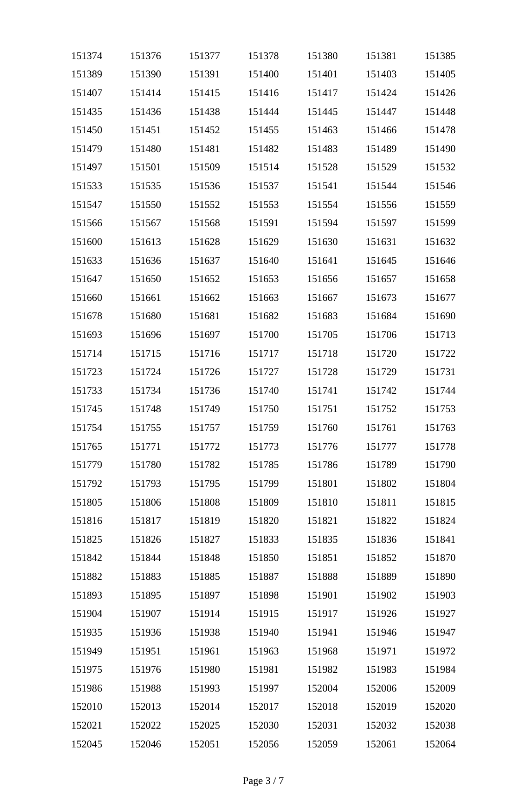| 151374 | 151376 | 151377 | 151378 | 151380 | 151381 | 151385 |
|--------|--------|--------|--------|--------|--------|--------|
| 151389 | 151390 | 151391 | 151400 | 151401 | 151403 | 151405 |
| 151407 | 151414 | 151415 | 151416 | 151417 | 151424 | 151426 |
| 151435 | 151436 | 151438 | 151444 | 151445 | 151447 | 151448 |
| 151450 | 151451 | 151452 | 151455 | 151463 | 151466 | 151478 |
| 151479 | 151480 | 151481 | 151482 | 151483 | 151489 | 151490 |
| 151497 | 151501 | 151509 | 151514 | 151528 | 151529 | 151532 |
| 151533 | 151535 | 151536 | 151537 | 151541 | 151544 | 151546 |
| 151547 | 151550 | 151552 | 151553 | 151554 | 151556 | 151559 |
| 151566 | 151567 | 151568 | 151591 | 151594 | 151597 | 151599 |
| 151600 | 151613 | 151628 | 151629 | 151630 | 151631 | 151632 |
| 151633 | 151636 | 151637 | 151640 | 151641 | 151645 | 151646 |
| 151647 | 151650 | 151652 | 151653 | 151656 | 151657 | 151658 |
| 151660 | 151661 | 151662 | 151663 | 151667 | 151673 | 151677 |
| 151678 | 151680 | 151681 | 151682 | 151683 | 151684 | 151690 |
| 151693 | 151696 | 151697 | 151700 | 151705 | 151706 | 151713 |
| 151714 | 151715 | 151716 | 151717 | 151718 | 151720 | 151722 |
| 151723 | 151724 | 151726 | 151727 | 151728 | 151729 | 151731 |
| 151733 | 151734 | 151736 | 151740 | 151741 | 151742 | 151744 |
| 151745 | 151748 | 151749 | 151750 | 151751 | 151752 | 151753 |
| 151754 | 151755 | 151757 | 151759 | 151760 | 151761 | 151763 |
| 151765 | 151771 | 151772 | 151773 | 151776 | 151777 | 151778 |
| 151779 | 151780 | 151782 | 151785 | 151786 | 151789 | 151790 |
| 151792 | 151793 | 151795 | 151799 | 151801 | 151802 | 151804 |
| 151805 | 151806 | 151808 | 151809 | 151810 | 151811 | 151815 |
| 151816 | 151817 | 151819 | 151820 | 151821 | 151822 | 151824 |
| 151825 | 151826 | 151827 | 151833 | 151835 | 151836 | 151841 |
| 151842 | 151844 | 151848 | 151850 | 151851 | 151852 | 151870 |
| 151882 | 151883 | 151885 | 151887 | 151888 | 151889 | 151890 |
| 151893 | 151895 | 151897 | 151898 | 151901 | 151902 | 151903 |
| 151904 | 151907 | 151914 | 151915 | 151917 | 151926 | 151927 |
| 151935 | 151936 | 151938 | 151940 | 151941 | 151946 | 151947 |
| 151949 | 151951 | 151961 | 151963 | 151968 | 151971 | 151972 |
| 151975 | 151976 | 151980 | 151981 | 151982 | 151983 | 151984 |
| 151986 | 151988 | 151993 | 151997 | 152004 | 152006 | 152009 |
| 152010 | 152013 | 152014 | 152017 | 152018 | 152019 | 152020 |
| 152021 | 152022 | 152025 | 152030 | 152031 | 152032 | 152038 |
| 152045 | 152046 | 152051 | 152056 | 152059 | 152061 | 152064 |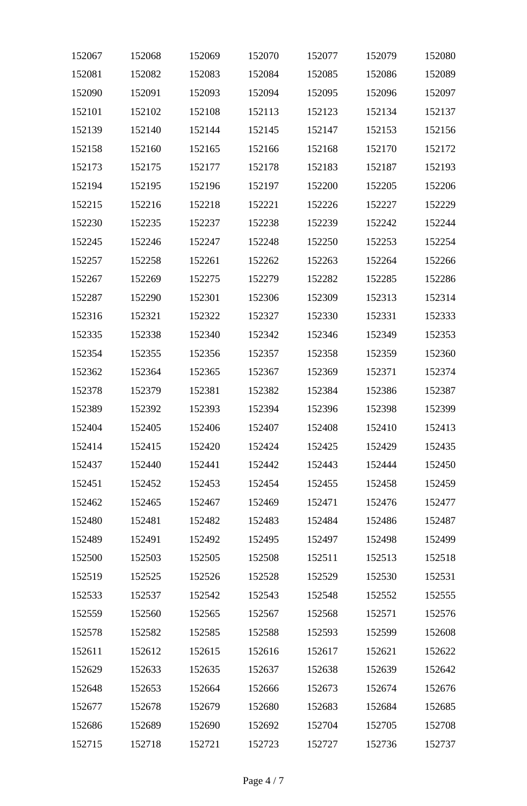| 152067 | 152068 | 152069 | 152070 | 152077 | 152079 | 152080 |
|--------|--------|--------|--------|--------|--------|--------|
| 152081 | 152082 | 152083 | 152084 | 152085 | 152086 | 152089 |
| 152090 | 152091 | 152093 | 152094 | 152095 | 152096 | 152097 |
| 152101 | 152102 | 152108 | 152113 | 152123 | 152134 | 152137 |
| 152139 | 152140 | 152144 | 152145 | 152147 | 152153 | 152156 |
| 152158 | 152160 | 152165 | 152166 | 152168 | 152170 | 152172 |
| 152173 | 152175 | 152177 | 152178 | 152183 | 152187 | 152193 |
| 152194 | 152195 | 152196 | 152197 | 152200 | 152205 | 152206 |
| 152215 | 152216 | 152218 | 152221 | 152226 | 152227 | 152229 |
| 152230 | 152235 | 152237 | 152238 | 152239 | 152242 | 152244 |
| 152245 | 152246 | 152247 | 152248 | 152250 | 152253 | 152254 |
| 152257 | 152258 | 152261 | 152262 | 152263 | 152264 | 152266 |
| 152267 | 152269 | 152275 | 152279 | 152282 | 152285 | 152286 |
| 152287 | 152290 | 152301 | 152306 | 152309 | 152313 | 152314 |
| 152316 | 152321 | 152322 | 152327 | 152330 | 152331 | 152333 |
| 152335 | 152338 | 152340 | 152342 | 152346 | 152349 | 152353 |
| 152354 | 152355 | 152356 | 152357 | 152358 | 152359 | 152360 |
| 152362 | 152364 | 152365 | 152367 | 152369 | 152371 | 152374 |
| 152378 | 152379 | 152381 | 152382 | 152384 | 152386 | 152387 |
| 152389 | 152392 | 152393 | 152394 | 152396 | 152398 | 152399 |
| 152404 | 152405 | 152406 | 152407 | 152408 | 152410 | 152413 |
| 152414 | 152415 | 152420 | 152424 | 152425 | 152429 | 152435 |
| 152437 | 152440 | 152441 | 152442 | 152443 | 152444 | 152450 |
| 152451 | 152452 | 152453 | 152454 | 152455 | 152458 | 152459 |
| 152462 | 152465 | 152467 | 152469 | 152471 | 152476 | 152477 |
| 152480 | 152481 | 152482 | 152483 | 152484 | 152486 | 152487 |
| 152489 | 152491 | 152492 | 152495 | 152497 | 152498 | 152499 |
| 152500 | 152503 | 152505 | 152508 | 152511 | 152513 | 152518 |
| 152519 | 152525 | 152526 | 152528 | 152529 | 152530 | 152531 |
| 152533 | 152537 | 152542 | 152543 | 152548 | 152552 | 152555 |
| 152559 | 152560 | 152565 | 152567 | 152568 | 152571 | 152576 |
| 152578 | 152582 | 152585 | 152588 | 152593 | 152599 | 152608 |
| 152611 | 152612 | 152615 | 152616 | 152617 | 152621 | 152622 |
| 152629 | 152633 | 152635 | 152637 | 152638 | 152639 | 152642 |
| 152648 | 152653 | 152664 | 152666 | 152673 | 152674 | 152676 |
| 152677 | 152678 | 152679 | 152680 | 152683 | 152684 | 152685 |
| 152686 | 152689 | 152690 | 152692 | 152704 | 152705 | 152708 |
| 152715 | 152718 | 152721 | 152723 | 152727 | 152736 | 152737 |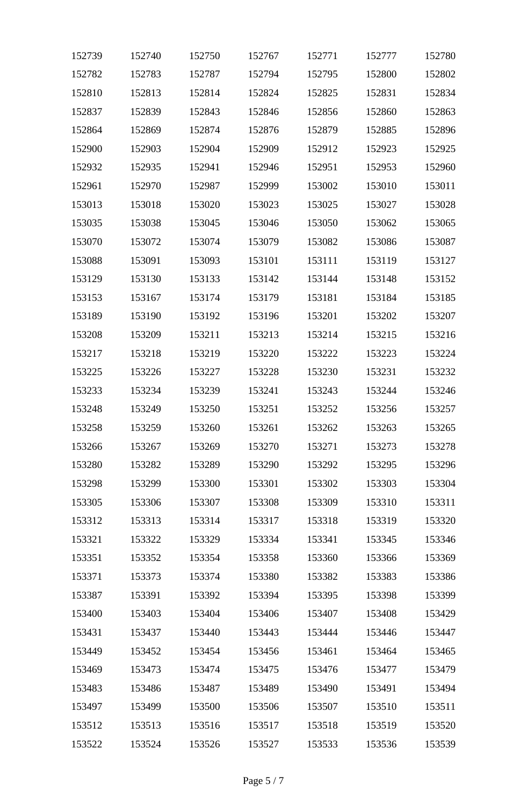| 152739 | 152740 | 152750 | 152767 | 152771 | 152777 | 152780 |
|--------|--------|--------|--------|--------|--------|--------|
| 152782 | 152783 | 152787 | 152794 | 152795 | 152800 | 152802 |
| 152810 | 152813 | 152814 | 152824 | 152825 | 152831 | 152834 |
| 152837 | 152839 | 152843 | 152846 | 152856 | 152860 | 152863 |
| 152864 | 152869 | 152874 | 152876 | 152879 | 152885 | 152896 |
| 152900 | 152903 | 152904 | 152909 | 152912 | 152923 | 152925 |
| 152932 | 152935 | 152941 | 152946 | 152951 | 152953 | 152960 |
| 152961 | 152970 | 152987 | 152999 | 153002 | 153010 | 153011 |
| 153013 | 153018 | 153020 | 153023 | 153025 | 153027 | 153028 |
| 153035 | 153038 | 153045 | 153046 | 153050 | 153062 | 153065 |
| 153070 | 153072 | 153074 | 153079 | 153082 | 153086 | 153087 |
| 153088 | 153091 | 153093 | 153101 | 153111 | 153119 | 153127 |
| 153129 | 153130 | 153133 | 153142 | 153144 | 153148 | 153152 |
| 153153 | 153167 | 153174 | 153179 | 153181 | 153184 | 153185 |
| 153189 | 153190 | 153192 | 153196 | 153201 | 153202 | 153207 |
| 153208 | 153209 | 153211 | 153213 | 153214 | 153215 | 153216 |
| 153217 | 153218 | 153219 | 153220 | 153222 | 153223 | 153224 |
| 153225 | 153226 | 153227 | 153228 | 153230 | 153231 | 153232 |
| 153233 | 153234 | 153239 | 153241 | 153243 | 153244 | 153246 |
| 153248 | 153249 | 153250 | 153251 | 153252 | 153256 | 153257 |
| 153258 | 153259 | 153260 | 153261 | 153262 | 153263 | 153265 |
| 153266 | 153267 | 153269 | 153270 | 153271 | 153273 | 153278 |
| 153280 | 153282 | 153289 | 153290 | 153292 | 153295 | 153296 |
| 153298 | 153299 | 153300 | 153301 | 153302 | 153303 | 153304 |
| 153305 | 153306 | 153307 | 153308 | 153309 | 153310 | 153311 |
| 153312 | 153313 | 153314 | 153317 | 153318 | 153319 | 153320 |
| 153321 | 153322 | 153329 | 153334 | 153341 | 153345 | 153346 |
| 153351 | 153352 | 153354 | 153358 | 153360 | 153366 | 153369 |
| 153371 | 153373 | 153374 | 153380 | 153382 | 153383 | 153386 |
| 153387 | 153391 | 153392 | 153394 | 153395 | 153398 | 153399 |
| 153400 | 153403 | 153404 | 153406 | 153407 | 153408 | 153429 |
| 153431 | 153437 | 153440 | 153443 | 153444 | 153446 | 153447 |
| 153449 | 153452 | 153454 | 153456 | 153461 | 153464 | 153465 |
| 153469 | 153473 | 153474 | 153475 | 153476 | 153477 | 153479 |
| 153483 | 153486 | 153487 | 153489 | 153490 | 153491 | 153494 |
| 153497 | 153499 | 153500 | 153506 | 153507 | 153510 | 153511 |
| 153512 | 153513 | 153516 | 153517 | 153518 | 153519 | 153520 |
| 153522 | 153524 | 153526 | 153527 | 153533 | 153536 | 153539 |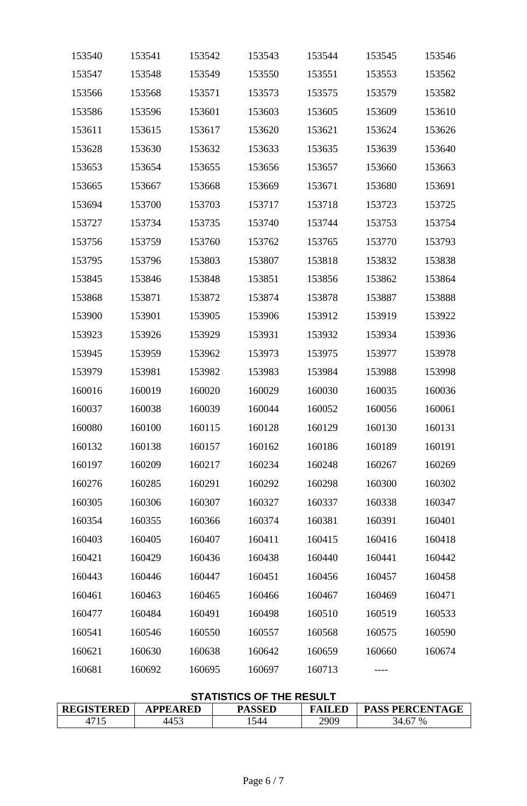| 153540 | 153541 | 153542 | 153543 | 153544 | 153545 | 153546 |
|--------|--------|--------|--------|--------|--------|--------|
| 153547 | 153548 | 153549 | 153550 | 153551 | 153553 | 153562 |
| 153566 | 153568 | 153571 | 153573 | 153575 | 153579 | 153582 |
| 153586 | 153596 | 153601 | 153603 | 153605 | 153609 | 153610 |
| 153611 | 153615 | 153617 | 153620 | 153621 | 153624 | 153626 |
| 153628 | 153630 | 153632 | 153633 | 153635 | 153639 | 153640 |
| 153653 | 153654 | 153655 | 153656 | 153657 | 153660 | 153663 |
| 153665 | 153667 | 153668 | 153669 | 153671 | 153680 | 153691 |
| 153694 | 153700 | 153703 | 153717 | 153718 | 153723 | 153725 |
| 153727 | 153734 | 153735 | 153740 | 153744 | 153753 | 153754 |
| 153756 | 153759 | 153760 | 153762 | 153765 | 153770 | 153793 |
| 153795 | 153796 | 153803 | 153807 | 153818 | 153832 | 153838 |
| 153845 | 153846 | 153848 | 153851 | 153856 | 153862 | 153864 |
| 153868 | 153871 | 153872 | 153874 | 153878 | 153887 | 153888 |
| 153900 | 153901 | 153905 | 153906 | 153912 | 153919 | 153922 |
| 153923 | 153926 | 153929 | 153931 | 153932 | 153934 | 153936 |
| 153945 | 153959 | 153962 | 153973 | 153975 | 153977 | 153978 |
| 153979 | 153981 | 153982 | 153983 | 153984 | 153988 | 153998 |
| 160016 | 160019 | 160020 | 160029 | 160030 | 160035 | 160036 |
| 160037 | 160038 | 160039 | 160044 | 160052 | 160056 | 160061 |
| 160080 | 160100 | 160115 | 160128 | 160129 | 160130 | 160131 |
| 160132 | 160138 | 160157 | 160162 | 160186 | 160189 | 160191 |
| 160197 | 160209 | 160217 | 160234 | 160248 | 160267 | 160269 |
| 160276 | 160285 | 160291 | 160292 | 160298 | 160300 | 160302 |
| 160305 | 160306 | 160307 | 160327 | 160337 | 160338 | 160347 |
| 160354 | 160355 | 160366 | 160374 | 160381 | 160391 | 160401 |
| 160403 | 160405 | 160407 | 160411 | 160415 | 160416 | 160418 |
| 160421 | 160429 | 160436 | 160438 | 160440 | 160441 | 160442 |
| 160443 | 160446 | 160447 | 160451 | 160456 | 160457 | 160458 |
| 160461 | 160463 | 160465 | 160466 | 160467 | 160469 | 160471 |
| 160477 | 160484 | 160491 | 160498 | 160510 | 160519 | 160533 |
| 160541 | 160546 | 160550 | 160557 | 160568 | 160575 | 160590 |
| 160621 | 160630 | 160638 | 160642 | 160659 | 160660 | 160674 |
| 160681 | 160692 | 160695 | 160697 | 160713 |        |        |

# **STATISTICS OF THE RESULT**

| <b>REGISTERED</b> | <b>APPEARED</b> | <b>PASSED</b> | <b>FAILED</b> | <b>PASS PERCENTAGE</b> |
|-------------------|-----------------|---------------|---------------|------------------------|
|                   | 4453            | 544           | 2909          | 34.67 %                |